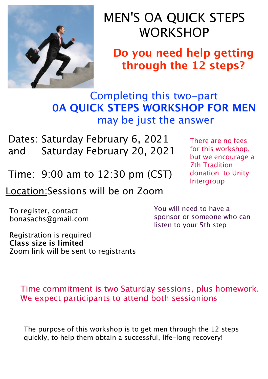

## MEN'S OA QUICK STEPS **WORKSHOP**

**Do you need help getting through the 12 steps?**

Completing this two-part **0A QUICK STEPS WORKSHOP FOR MEN** may be just the answer

Dates: Saturday February 6, 2021 and Saturday February 20, 2021

Time: 9:00 am to 12:30 pm (CST)

Location:Sessions will be on Zoom

To register, contact bonasachs@gmail.com

Registration is required **Class size is limited** Zoom link will be sent to registrants There are no fees for this workshop, but we encourage a 7th Tradition donation to Unity Intergroup

You will need to have a sponsor or someone who can listen to your 5th step

Time commitment is two Saturday sessions, plus homework. We expect participants to attend both sessionions

The purpose of this workshop is to get men through the 12 steps quickly, to help them obtain a successful, life-long recovery!